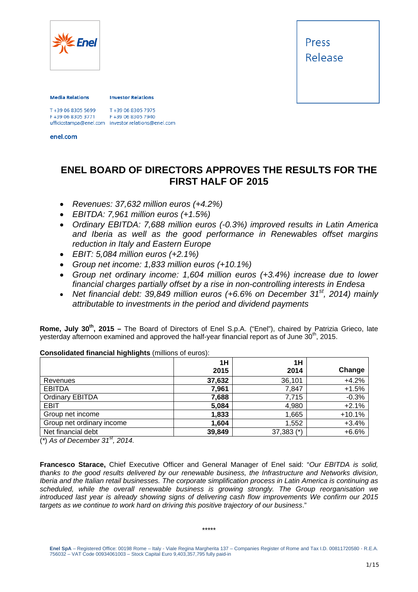

#### **Media Relations**

**Investor Relations** 

T+39 06 8305 7975 F+39 06 8305 7940 F+39 06 8305 3771 ufficiostampa@enel.com investor.relations@enel.com<br>enel.com

## **ENEL BOARD OF DIRECTORS APPROVES THE RESULTS FOR THE FIRST HALF OF 2015**

- *Revenues: 37,632 million euros (+4.2%)*
- *EBITDA: 7,961 million euros (+1.5%)*
- *Ordinary EBITDA: 7,688 million euros (-0.3%) improved results in Latin America and Iberia as well as the good performance in Renewables offset margins reduction in Italy and Eastern Europe*
- *EBIT: 5,084 million euros (+2.1%)*
- *Group net income: 1,833 million euros (+10.1%)*
- *Group net ordinary income: 1,604 million euros (+3.4%) increase due to lower financial charges partially offset by a rise in non-controlling interests in Endesa*
- Net financial debt: 39,849 million euros (+6.6% on December 31<sup>st</sup>, 2014) mainly *attributable to investments in the period and dividend payments*

**Rome, July 30th, 2015 –** The Board of Directors of Enel S.p.A. ("Enel"), chaired by Patrizia Grieco, late yesterday afternoon examined and approved the half-year financial report as of June 30<sup>th</sup>, 2015.

|                           | 1H<br>2015 | 1H<br>2014   | Change   |
|---------------------------|------------|--------------|----------|
| Revenues                  | 37,632     | 36,101       | $+4.2%$  |
| <b>EBITDA</b>             | 7,961      | 7,847        | $+1.5%$  |
| <b>Ordinary EBITDA</b>    | 7,688      | 7,715        | $-0.3%$  |
| <b>EBIT</b>               | 5,084      | 4,980        | $+2.1%$  |
| Group net income          | 1,833      | 1,665        | $+10.1%$ |
| Group net ordinary income | 1,604      | 1,552        | $+3.4%$  |
| Net financial debt        | 39,849     | $37,383$ (*) | $+6.6%$  |

**Consolidated financial highlights** (millions of euros):

(*\**) *As of December 31st, 2014.* 

**Francesco Starace,** Chief Executive Officer and General Manager of Enel said: "*Our EBITDA is solid, thanks to the good results delivered by our renewable business, the Infrastructure and Networks division, Iberia and the Italian retail businesses. The corporate simplification process in Latin America is continuing as scheduled, while the overall renewable business is growing strongly. The Group reorganisation we introduced last year is already showing signs of delivering cash flow improvements We confirm our 2015 targets as we continue to work hard on driving this positive trajectory of our business*."

#### \*\*\*\*\*

**Enel SpA** – Registered Office: 00198 Rome – Italy - Viale Regina Margherita 137 – Companies Register of Rome and Tax I.D. 00811720580 - R.E.A. 756032 – VAT Code 00934061003 – Stock Capital Euro 9,403,357,795 fully paid-in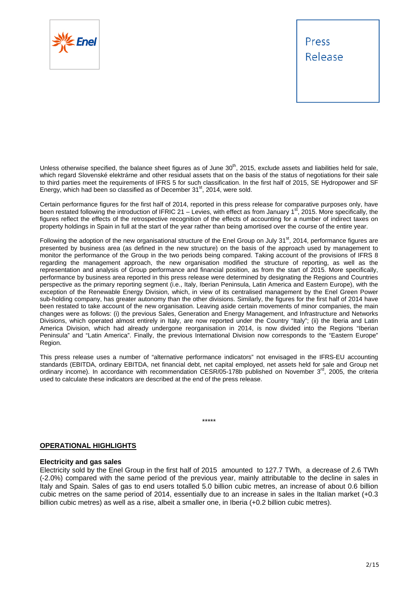

Unless otherwise specified, the balance sheet figures as of June  $30<sup>th</sup>$ , 2015, exclude assets and liabilities held for sale, which regard Slovenské elektrárne and other residual assets that on the basis of the status of negotiations for their sale to third parties meet the requirements of IFRS 5 for such classification. In the first half of 2015, SE Hydropower and SF Energy, which had been so classified as of December  $31<sup>st</sup>$ , 2014, were sold.

Certain performance figures for the first half of 2014, reported in this press release for comparative purposes only, have been restated following the introduction of IFRIC 21 – Levies, with effect as from January 1<sup>st</sup>, 2015. More specifically, the figures reflect the effects of the retrospective recognition of the effects of accounting for a number of indirect taxes on property holdings in Spain in full at the start of the year rather than being amortised over the course of the entire year.

Following the adoption of the new organisational structure of the Enel Group on July  $31<sup>st</sup>$ , 2014, performance figures are presented by business area (as defined in the new structure) on the basis of the approach used by management to monitor the performance of the Group in the two periods being compared. Taking account of the provisions of IFRS 8 regarding the management approach, the new organisation modified the structure of reporting, as well as the representation and analysis of Group performance and financial position, as from the start of 2015. More specifically, performance by business area reported in this press release were determined by designating the Regions and Countries perspective as the primary reporting segment (i.e., Italy, Iberian Peninsula, Latin America and Eastern Europe), with the exception of the Renewable Energy Division, which, in view of its centralised management by the Enel Green Power sub-holding company, has greater autonomy than the other divisions. Similarly, the figures for the first half of 2014 have been restated to take account of the new organisation. Leaving aside certain movements of minor companies, the main changes were as follows: (i) the previous Sales, Generation and Energy Management, and Infrastructure and Networks Divisions, which operated almost entirely in Italy, are now reported under the Country "Italy"; (ii) the Iberia and Latin America Division, which had already undergone reorganisation in 2014, is now divided into the Regions "Iberian Peninsula" and "Latin America". Finally, the previous International Division now corresponds to the "Eastern Europe" Region.

This press release uses a number of "alternative performance indicators" not envisaged in the IFRS-EU accounting standards (EBITDA, ordinary EBITDA, net financial debt, net capital employed, net assets held for sale and Group net ordinary income). In accordance with recommendation CESR/05-178b published on November  $3<sup>rd</sup>$ , 2005, the criteria used to calculate these indicators are described at the end of the press release.

\*\*\*\*\*

## **OPERATIONAL HIGHLIGHTS**

### **Electricity and gas sales**

Electricity sold by the Enel Group in the first half of 2015 amounted to 127.7 TWh, a decrease of 2.6 TWh (-2.0%) compared with the same period of the previous year, mainly attributable to the decline in sales in Italy and Spain. Sales of gas to end users totalled 5.0 billion cubic metres, an increase of about 0.6 billion cubic metres on the same period of 2014, essentially due to an increase in sales in the Italian market (+0.3 billion cubic metres) as well as a rise, albeit a smaller one, in Iberia (+0.2 billion cubic metres).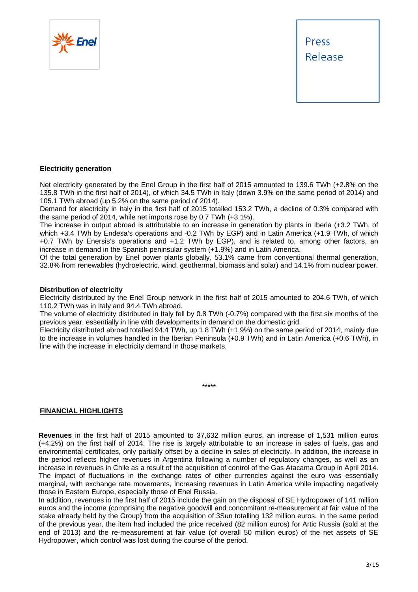



### **Electricity generation**

Net electricity generated by the Enel Group in the first half of 2015 amounted to 139.6 TWh (+2.8% on the 135.8 TWh in the first half of 2014), of which 34.5 TWh in Italy (down 3.9% on the same period of 2014) and 105.1 TWh abroad (up 5.2% on the same period of 2014).

Demand for electricity in Italy in the first half of 2015 totalled 153.2 TWh, a decline of 0.3% compared with the same period of 2014, while net imports rose by 0.7 TWh (+3.1%).

The increase in output abroad is attributable to an increase in generation by plants in Iberia (+3.2 TWh, of which +3.4 TWh by Endesa's operations and -0.2 TWh by EGP) and in Latin America (+1.9 TWh, of which +0.7 TWh by Enersis's operations and +1.2 TWh by EGP), and is related to, among other factors, an increase in demand in the Spanish peninsular system (+1.9%) and in Latin America.

Of the total generation by Enel power plants globally, 53.1% came from conventional thermal generation, 32.8% from renewables (hydroelectric, wind, geothermal, biomass and solar) and 14.1% from nuclear power.

### **Distribution of electricity**

Electricity distributed by the Enel Group network in the first half of 2015 amounted to 204.6 TWh, of which 110.2 TWh was in Italy and 94.4 TWh abroad.

The volume of electricity distributed in Italy fell by 0.8 TWh (-0.7%) compared with the first six months of the previous year, essentially in line with developments in demand on the domestic grid.

Electricity distributed abroad totalled 94.4 TWh, up 1.8 TWh (+1.9%) on the same period of 2014, mainly due to the increase in volumes handled in the Iberian Peninsula (+0.9 TWh) and in Latin America (+0.6 TWh), in line with the increase in electricity demand in those markets.

\*\*\*\*\*

**FINANCIAL HIGHLIGHTS** 

**Revenues** in the first half of 2015 amounted to 37,632 million euros, an increase of 1,531 million euros (+4.2%) on the first half of 2014. The rise is largely attributable to an increase in sales of fuels, gas and environmental certificates, only partially offset by a decline in sales of electricity. In addition, the increase in the period reflects higher revenues in Argentina following a number of regulatory changes, as well as an increase in revenues in Chile as a result of the acquisition of control of the Gas Atacama Group in April 2014. The impact of fluctuations in the exchange rates of other currencies against the euro was essentially marginal, with exchange rate movements, increasing revenues in Latin America while impacting negatively those in Eastern Europe, especially those of Enel Russia.

In addition, revenues in the first half of 2015 include the gain on the disposal of SE Hydropower of 141 million euros and the income (comprising the negative goodwill and concomitant re-measurement at fair value of the stake already held by the Group) from the acquisition of 3Sun totalling 132 million euros. In the same period of the previous year, the item had included the price received (82 million euros) for Artic Russia (sold at the end of 2013) and the re-measurement at fair value (of overall 50 million euros) of the net assets of SE Hydropower, which control was lost during the course of the period.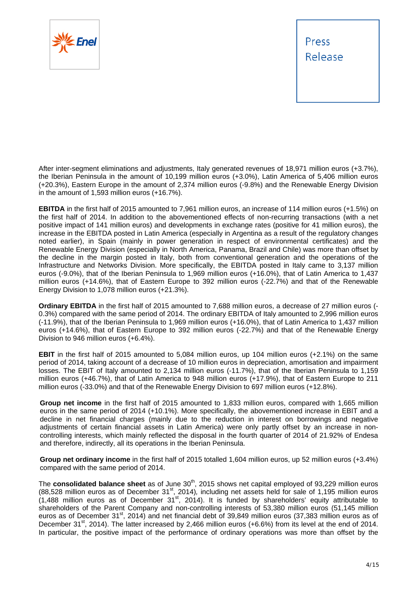

After inter-segment eliminations and adjustments, Italy generated revenues of 18,971 million euros (+3.7%), the Iberian Peninsula in the amount of 10,199 million euros (+3.0%), Latin America of 5,406 million euros (+20.3%), Eastern Europe in the amount of 2,374 million euros (-9.8%) and the Renewable Energy Division in the amount of 1,593 million euros (+16.7%).

**EBITDA** in the first half of 2015 amounted to 7,961 million euros, an increase of 114 million euros (+1.5%) on the first half of 2014. In addition to the abovementioned effects of non-recurring transactions (with a net positive impact of 141 million euros) and developments in exchange rates (positive for 41 million euros), the increase in the EBITDA posted in Latin America (especially in Argentina as a result of the regulatory changes noted earlier), in Spain (mainly in power generation in respect of environmental certificates) and the Renewable Energy Division (especially in North America, Panama, Brazil and Chile) was more than offset by the decline in the margin posted in Italy, both from conventional generation and the operations of the Infrastructure and Networks Division. More specifically, the EBITDA posted in Italy came to 3,137 million euros (-9.0%), that of the Iberian Peninsula to 1,969 million euros (+16.0%), that of Latin America to 1,437 million euros (+14.6%), that of Eastern Europe to 392 million euros (-22.7%) and that of the Renewable Energy Division to 1,078 million euros (+21.3%).

**Ordinary EBITDA** in the first half of 2015 amounted to 7,688 million euros, a decrease of 27 million euros (- 0.3%) compared with the same period of 2014. The ordinary EBITDA of Italy amounted to 2,996 million euros (-11.9%), that of the Iberian Peninsula to 1,969 million euros (+16.0%), that of Latin America to 1,437 million euros (+14.6%), that of Eastern Europe to 392 million euros (-22.7%) and that of the Renewable Energy Division to 946 million euros (+6.4%).

**EBIT** in the first half of 2015 amounted to 5,084 million euros, up 104 million euros (+2.1%) on the same period of 2014, taking account of a decrease of 10 million euros in depreciation, amortisation and impairment losses. The EBIT of Italy amounted to 2,134 million euros (-11.7%), that of the Iberian Peninsula to 1,159 million euros (+46.7%), that of Latin America to 948 million euros (+17.9%), that of Eastern Europe to 211 million euros (-33.0%) and that of the Renewable Energy Division to 697 million euros (+12.8%).

**Group net income** in the first half of 2015 amounted to 1,833 million euros, compared with 1,665 million euros in the same period of 2014 (+10.1%). More specifically, the abovementioned increase in EBIT and a decline in net financial charges (mainly due to the reduction in interest on borrowings and negative adjustments of certain financial assets in Latin America) were only partly offset by an increase in noncontrolling interests, which mainly reflected the disposal in the fourth quarter of 2014 of 21.92% of Endesa and therefore, indirectly, all its operations in the Iberian Peninsula.

**Group net ordinary income** in the first half of 2015 totalled 1,604 million euros, up 52 million euros (+3.4%) compared with the same period of 2014.

The **consolidated balance sheet** as of June 30<sup>th</sup>, 2015 shows net capital employed of 93.229 million euros (88,528 million euros as of December 31<sup>st</sup>, 2014), including net assets held for sale of 1,195 million euros  $(1,488$  million euros as of December 31<sup>st</sup>, 2014). It is funded by shareholders' equity attributable to shareholders of the Parent Company and non-controlling interests of 53,380 million euros (51,145 million euros as of December 31<sup>st</sup>, 2014) and net financial debt of 39,849 million euros (37,383 million euros as of December 31<sup>st</sup>, 2014). The latter increased by 2,466 million euros (+6.6%) from its level at the end of 2014. In particular, the positive impact of the performance of ordinary operations was more than offset by the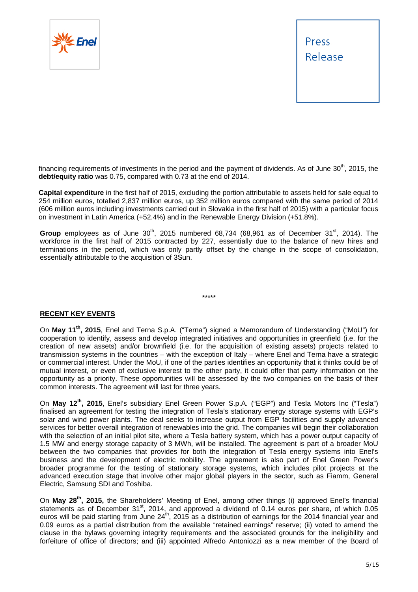

financing requirements of investments in the period and the payment of dividends. As of June  $30<sup>th</sup>$ , 2015, the **debt/equity ratio** was 0.75, compared with 0.73 at the end of 2014.

**Capital expenditure** in the first half of 2015, excluding the portion attributable to assets held for sale equal to 254 million euros, totalled 2,837 million euros, up 352 million euros compared with the same period of 2014 (606 million euros including investments carried out in Slovakia in the first half of 2015) with a particular focus on investment in Latin America (+52.4%) and in the Renewable Energy Division (+51.8%).

Group employees as of June  $30<sup>th</sup>$ , 2015 numbered 68,734 (68,961 as of December  $31<sup>st</sup>$ , 2014). The workforce in the first half of 2015 contracted by 227, essentially due to the balance of new hires and terminations in the period, which was only partly offset by the change in the scope of consolidation, essentially attributable to the acquisition of 3Sun.

\*\*\*\*\*

## **RECENT KEY EVENTS**

On **May 11th, 2015**, Enel and Terna S.p.A. ("Terna") signed a Memorandum of Understanding ("MoU") for cooperation to identify, assess and develop integrated initiatives and opportunities in greenfield (i.e. for the creation of new assets) and/or brownfield (i.e. for the acquisition of existing assets) projects related to transmission systems in the countries – with the exception of Italy – where Enel and Terna have a strategic or commercial interest. Under the MoU, if one of the parties identifies an opportunity that it thinks could be of mutual interest, or even of exclusive interest to the other party, it could offer that party information on the opportunity as a priority. These opportunities will be assessed by the two companies on the basis of their common interests. The agreement will last for three years.

On **May 12th, 2015**, Enel's subsidiary Enel Green Power S.p.A. ("EGP") and Tesla Motors Inc ("Tesla") finalised an agreement for testing the integration of Tesla's stationary energy storage systems with EGP's solar and wind power plants. The deal seeks to increase output from EGP facilities and supply advanced services for better overall integration of renewables into the grid. The companies will begin their collaboration with the selection of an initial pilot site, where a Tesla battery system, which has a power output capacity of 1.5 MW and energy storage capacity of 3 MWh, will be installed. The agreement is part of a broader MoU between the two companies that provides for both the integration of Tesla energy systems into Enel's business and the development of electric mobility. The agreement is also part of Enel Green Power's broader programme for the testing of stationary storage systems, which includes pilot projects at the advanced execution stage that involve other major global players in the sector, such as Fiamm, General Electric, Samsung SDI and Toshiba.

On **May 28th, 2015,** the Shareholders' Meeting of Enel, among other things (i) approved Enel's financial statements as of December 31<sup>st</sup>, 2014, and approved a dividend of 0.14 euros per share, of which 0.05 euros will be paid starting from June 24<sup>th</sup>, 2015 as a distribution of earnings for the 2014 financial year and 0.09 euros as a partial distribution from the available "retained earnings" reserve; (ii) voted to amend the clause in the bylaws governing integrity requirements and the associated grounds for the ineligibility and forfeiture of office of directors; and (iii) appointed Alfredo Antoniozzi as a new member of the Board of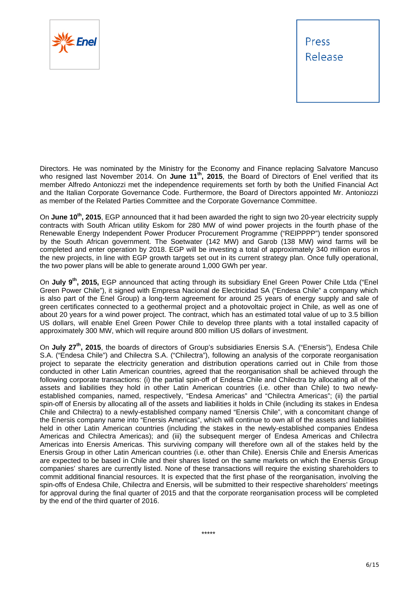

Directors. He was nominated by the Ministry for the Economy and Finance replacing Salvatore Mancuso who resigned last November 2014. On **June 11th, 2015**, the Board of Directors of Enel verified that its member Alfredo Antoniozzi met the independence requirements set forth by both the Unified Financial Act and the Italian Corporate Governance Code. Furthermore, the Board of Directors appointed Mr. Antoniozzi as member of the Related Parties Committee and the Corporate Governance Committee.

On **June 10th, 2015**, EGP announced that it had been awarded the right to sign two 20-year electricity supply contracts with South African utility Eskom for 280 MW of wind power projects in the fourth phase of the Renewable Energy Independent Power Producer Procurement Programme ("REIPPPP") tender sponsored by the South African government. The Soetwater (142 MW) and Garob (138 MW) wind farms will be completed and enter operation by 2018. EGP will be investing a total of approximately 340 million euros in the new projects, in line with EGP growth targets set out in its current strategy plan. Once fully operational, the two power plans will be able to generate around 1,000 GWh per year.

On **July 9th, 2015,** EGP announced that acting through its subsidiary Enel Green Power Chile Ltda ("Enel Green Power Chile"), it signed with Empresa Nacional de Electricidad SA ("Endesa Chile" a company which is also part of the Enel Group) a long-term agreement for around 25 years of energy supply and sale of green certificates connected to a geothermal project and a photovoltaic project in Chile, as well as one of about 20 years for a wind power project. The contract, which has an estimated total value of up to 3.5 billion US dollars, will enable Enel Green Power Chile to develop three plants with a total installed capacity of approximately 300 MW, which will require around 800 million US dollars of investment.

On July 27<sup>th</sup>, 2015, the boards of directors of Group's subsidiaries Enersis S.A. ("Enersis"), Endesa Chile S.A. ("Endesa Chile") and Chilectra S.A. ("Chilectra"), following an analysis of the corporate reorganisation project to separate the electricity generation and distribution operations carried out in Chile from those conducted in other Latin American countries, agreed that the reorganisation shall be achieved through the following corporate transactions: (i) the partial spin-off of Endesa Chile and Chilectra by allocating all of the assets and liabilities they hold in other Latin American countries (i.e. other than Chile) to two newlyestablished companies, named, respectively, "Endesa Americas" and "Chilectra Americas"; (ii) the partial spin-off of Enersis by allocating all of the assets and liabilities it holds in Chile (including its stakes in Endesa Chile and Chilectra) to a newly-established company named "Enersis Chile", with a concomitant change of the Enersis company name into "Enersis Americas", which will continue to own all of the assets and liabilities held in other Latin American countries (including the stakes in the newly-established companies Endesa Americas and Chilectra Americas); and (iii) the subsequent merger of Endesa Americas and Chilectra Americas into Enersis Americas. This surviving company will therefore own all of the stakes held by the Enersis Group in other Latin American countries (i.e. other than Chile). Enersis Chile and Enersis Americas are expected to be based in Chile and their shares listed on the same markets on which the Enersis Group companies' shares are currently listed. None of these transactions will require the existing shareholders to commit additional financial resources. It is expected that the first phase of the reorganisation, involving the spin-offs of Endesa Chile, Chilectra and Enersis, will be submitted to their respective shareholders' meetings for approval during the final quarter of 2015 and that the corporate reorganisation process will be completed by the end of the third quarter of 2016.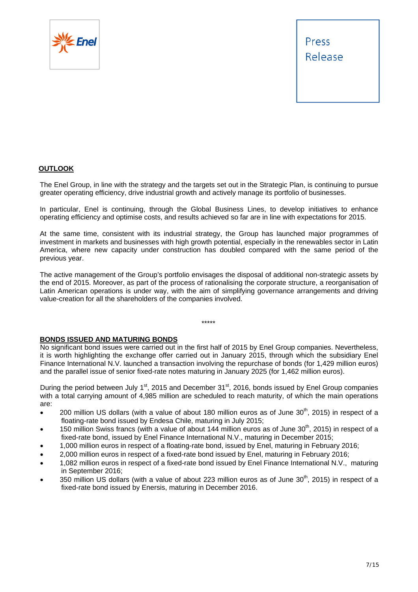



## **OUTLOOK**

The Enel Group, in line with the strategy and the targets set out in the Strategic Plan, is continuing to pursue greater operating efficiency, drive industrial growth and actively manage its portfolio of businesses.

In particular, Enel is continuing, through the Global Business Lines, to develop initiatives to enhance operating efficiency and optimise costs, and results achieved so far are in line with expectations for 2015.

At the same time, consistent with its industrial strategy, the Group has launched major programmes of investment in markets and businesses with high growth potential, especially in the renewables sector in Latin America, where new capacity under construction has doubled compared with the same period of the previous year.

The active management of the Group's portfolio envisages the disposal of additional non-strategic assets by the end of 2015. Moreover, as part of the process of rationalising the corporate structure, a reorganisation of Latin American operations is under way, with the aim of simplifying governance arrangements and driving value-creation for all the shareholders of the companies involved.

\*\*\*\*\*

### **BONDS ISSUED AND MATURING BONDS**

No significant bond issues were carried out in the first half of 2015 by Enel Group companies. Nevertheless, it is worth highlighting the exchange offer carried out in January 2015, through which the subsidiary Enel Finance International N.V. launched a transaction involving the repurchase of bonds (for 1,429 million euros) and the parallel issue of senior fixed-rate notes maturing in January 2025 (for 1,462 million euros).

During the period between July 1<sup>st</sup>, 2015 and December 31<sup>st</sup>, 2016, bonds issued by Enel Group companies with a total carrying amount of 4,985 million are scheduled to reach maturity, of which the main operations are:

- $\bullet$  200 million US dollars (with a value of about 180 million euros as of June 30<sup>th</sup>, 2015) in respect of a floating-rate bond issued by Endesa Chile, maturing in July 2015;
- 150 million Swiss francs (with a value of about 144 million euros as of June  $30<sup>th</sup>$ , 2015) in respect of a fixed-rate bond, issued by Enel Finance International N.V., maturing in December 2015;
- 1,000 million euros in respect of a floating-rate bond, issued by Enel, maturing in February 2016;
- 2,000 million euros in respect of a fixed-rate bond issued by Enel, maturing in February 2016;
- 1,082 million euros in respect of a fixed-rate bond issued by Enel Finance International N.V., maturing in September 2016;
- 350 million US dollars (with a value of about 223 million euros as of June  $30<sup>th</sup>$ , 2015) in respect of a fixed-rate bond issued by Enersis, maturing in December 2016.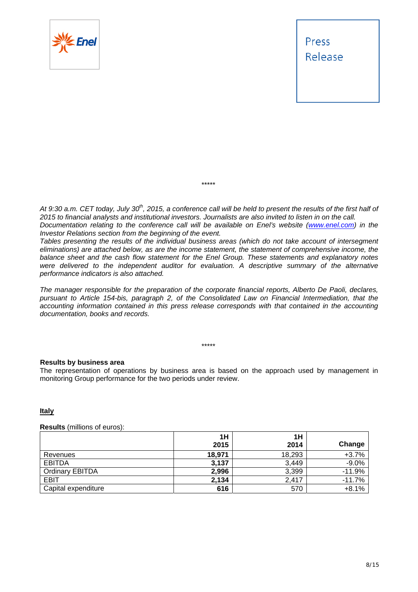

At 9:30 a.m. CET today, July 30<sup>th</sup>, 2015, a conference call will be held to present the results of the first half of *2015 to financial analysts and institutional investors. Journalists are also invited to listen in on the call. Documentation relating to the conference call will be available on Enel's website (www.enel.com) in the Investor Relations section from the beginning of the event.* 

\*\*\*\*\*

*Tables presenting the results of the individual business areas (which do not take account of intersegment eliminations) are attached below, as are the income statement, the statement of comprehensive income, the balance sheet and the cash flow statement for the Enel Group. These statements and explanatory notes were delivered to the independent auditor for evaluation. A descriptive summary of the alternative performance indicators is also attached.* 

*The manager responsible for the preparation of the corporate financial reports, Alberto De Paoli, declares, pursuant to Article 154-bis, paragraph 2, of the Consolidated Law on Financial Intermediation, that the accounting information contained in this press release corresponds with that contained in the accounting documentation, books and records.* 

\*\*\*\*\*

### **Results by business area**

The representation of operations by business area is based on the approach used by management in monitoring Group performance for the two periods under review.

## **Italy**

#### **Results** (millions of euros):

|                        | 1H     | 1H     |          |
|------------------------|--------|--------|----------|
|                        | 2015   | 2014   | Change   |
| Revenues               | 18,971 | 18,293 | $+3.7%$  |
| <b>EBITDA</b>          | 3,137  | 3,449  | $-9.0%$  |
| <b>Ordinary EBITDA</b> | 2.996  | 3,399  | $-11.9%$ |
| <b>EBIT</b>            | 2.134  | 2.417  | $-11.7%$ |
| Capital expenditure    | 616    | 570    | $+8.1%$  |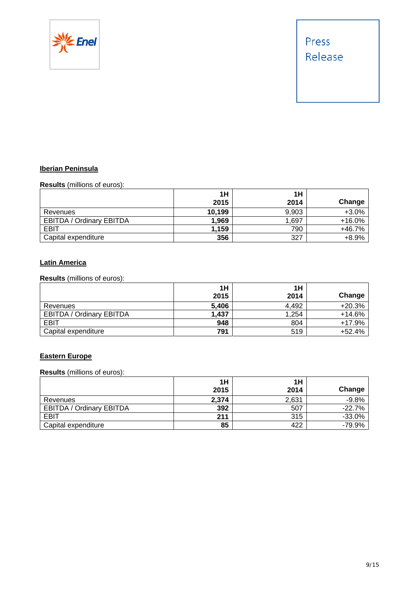

## **Iberian Peninsula**

**Results** (millions of euros):

|                                 | 1H     | 1H    |          |
|---------------------------------|--------|-------|----------|
|                                 | 2015   | 2014  | Change   |
| Revenues                        | 10,199 | 9,903 | $+3.0%$  |
| <b>EBITDA / Ordinary EBITDA</b> | 1,969  | 1,697 | $+16.0%$ |
| EBIT                            | 1,159  | 790   | +46.7%   |
| Capital expenditure             | 356    | 327   | $+8.9%$  |

## **Latin America**

**Results** (millions of euros):

|                                 | 1H    | 1H    |          |
|---------------------------------|-------|-------|----------|
|                                 | 2015  | 2014  | Change   |
| Revenues                        | 5,406 | 4.492 | $+20.3%$ |
| <b>EBITDA / Ordinary EBITDA</b> | 1,437 | 1,254 | +14.6%   |
| EBIT                            | 948   | 804   | $+17.9%$ |
| Capital expenditure             | 791   | 519   | +52.4%   |

## **Eastern Europe**

**Results** (millions of euros):

|                                 | 1H    | 1H    |          |
|---------------------------------|-------|-------|----------|
|                                 | 2015  | 2014  | Change   |
| Revenues                        | 2,374 | 2,631 | $-9.8%$  |
| <b>EBITDA / Ordinary EBITDA</b> | 392   | 507   | $-22.7%$ |
| EBIT                            | 211   | 315   | $-33.0%$ |
| Capital expenditure             | 85    | 422   | $-79.9%$ |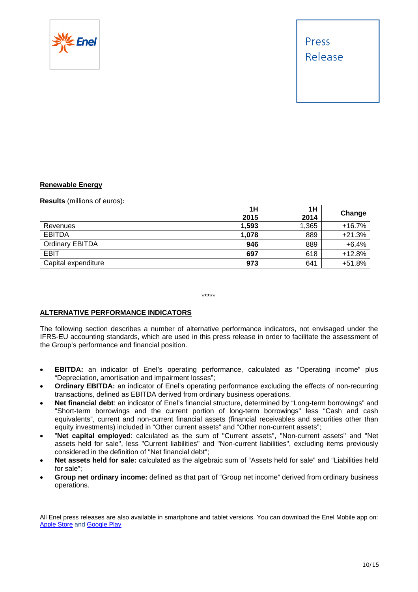

## **Renewable Energy**

### **Results** (millions of euros)**:**

|                        | 1H    | 1H    | Change   |
|------------------------|-------|-------|----------|
|                        | 2015  | 2014  |          |
| Revenues               | 1,593 | 1,365 | $+16.7%$ |
| <b>EBITDA</b>          | 1,078 | 889   | $+21.3%$ |
| <b>Ordinary EBITDA</b> | 946   | 889   | $+6.4%$  |
| <b>EBIT</b>            | 697   | 618   | $+12.8%$ |
| Capital expenditure    | 973   | 641   | $+51.8%$ |

\*\*\*\*\*

## **ALTERNATIVE PERFORMANCE INDICATORS**

The following section describes a number of alternative performance indicators, not envisaged under the IFRS-EU accounting standards, which are used in this press release in order to facilitate the assessment of the Group's performance and financial position.

- **EBITDA:** an indicator of Enel's operating performance, calculated as "Operating income" plus "Depreciation, amortisation and impairment losses";
- **Ordinary EBITDA:** an indicator of Enel's operating performance excluding the effects of non-recurring transactions, defined as EBITDA derived from ordinary business operations.
- **Net financial debt**: an indicator of Enel's financial structure, determined by "Long-term borrowings" and "Short-term borrowings and the current portion of long-term borrowings" less "Cash and cash equivalents", current and non-current financial assets (financial receivables and securities other than equity investments) included in "Other current assets" and "Other non-current assets";
- "**Net capital employed**: calculated as the sum of "Current assets", "Non-current assets" and "Net assets held for sale", less "Current liabilities" and "Non-current liabilities", excluding items previously considered in the definition of "Net financial debt";
- **Net assets held for sale:** calculated as the algebraic sum of "Assets held for sale" and "Liabilities held for sale";
- **Group net ordinary income:** defined as that part of "Group net income" derived from ordinary business operations.

All Enel press releases are also available in smartphone and tablet versions. You can download the Enel Mobile app on: Apple Store and Google Play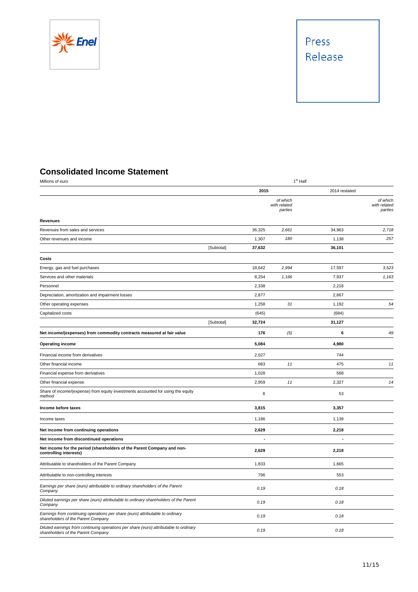



## **Consolidated Income Statement**

| Millions of euro                                                                                                            | 1 <sup>st</sup> Half |        |                                     |               |                                     |
|-----------------------------------------------------------------------------------------------------------------------------|----------------------|--------|-------------------------------------|---------------|-------------------------------------|
|                                                                                                                             |                      | 2015   |                                     | 2014 restated |                                     |
|                                                                                                                             |                      |        | of which<br>with related<br>parties |               | of which<br>with related<br>parties |
| <b>Revenues</b>                                                                                                             |                      |        |                                     |               |                                     |
| Revenues from sales and services                                                                                            |                      | 36,325 | 2,661                               | 34,963        | 2,718                               |
| Other revenues and income                                                                                                   |                      | 1,307  | 180                                 | 1,138         | 257                                 |
|                                                                                                                             | [Subtotal]           | 37,632 |                                     | 36,101        |                                     |
| Costs                                                                                                                       |                      |        |                                     |               |                                     |
| Energy, gas and fuel purchases                                                                                              |                      | 18,642 | 2,994                               | 17,597        | 3,523                               |
| Services and other materials                                                                                                |                      | 8,254  | 1,166                               | 7,937         | 1,163                               |
| Personnel                                                                                                                   |                      | 2,338  |                                     | 2,218         |                                     |
| Depreciation, amortization and impairment losses                                                                            |                      | 2,877  |                                     | 2,867         |                                     |
| Other operating expenses                                                                                                    |                      | 1,258  | 31                                  | 1,192         | 54                                  |
| Capitalized costs                                                                                                           |                      | (645)  |                                     | (684)         |                                     |
|                                                                                                                             | [Subtotal]           | 32,724 |                                     | 31,127        |                                     |
| Net income/(expenses) from commodity contracts measured at fair value                                                       |                      | 176    | (5)                                 | 6             | 49                                  |
| <b>Operating income</b>                                                                                                     |                      | 5,084  |                                     | 4,980         |                                     |
| Financial income from derivatives                                                                                           |                      | 2,027  |                                     | 744           |                                     |
| Other financial income                                                                                                      |                      | 683    | 11                                  | 475           | 11                                  |
| Financial expense from derivatives                                                                                          |                      | 1,028  |                                     | 568           |                                     |
| Other financial expense                                                                                                     |                      | 2,959  | 11                                  | 2,327         | 14                                  |
| Share of income/(expense) from equity investments accounted for using the equity<br>method                                  |                      | 8      |                                     | 53            |                                     |
| Income before taxes                                                                                                         |                      | 3,815  |                                     | 3,357         |                                     |
| Income taxes                                                                                                                |                      | 1,186  |                                     | 1,139         |                                     |
| Net income from continuing operations                                                                                       |                      | 2,629  |                                     | 2,218         |                                     |
| Net income from discontinued operations                                                                                     |                      |        |                                     |               |                                     |
| Net income for the period (shareholders of the Parent Company and non-<br>controlling interests)                            |                      | 2,629  |                                     | 2,218         |                                     |
| Attributable to shareholders of the Parent Company                                                                          |                      | 1,833  |                                     | 1,665         |                                     |
| Attributable to non-controlling interests                                                                                   |                      | 796    |                                     | 553           |                                     |
| Earnings per share (euro) attributable to ordinary shareholders of the Parent<br>Company                                    |                      | 0.19   |                                     | 0.18          |                                     |
| Diluted earnings per share (euro) attributable to ordinary shareholders of the Parent<br>Company                            |                      | 0.19   |                                     | 0.18          |                                     |
| Earnings from continuing operations per share (euro) attributable to ordinary<br>shareholders of the Parent Company         |                      | 0.19   |                                     | 0.18          |                                     |
| Diluted earnings from continuing operations per share (euro) attributable to ordinary<br>shareholders of the Parent Company |                      | 0.19   |                                     | 0.18          |                                     |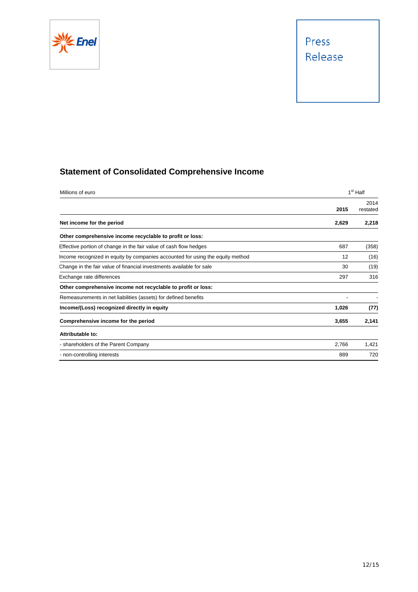

## **Statement of Consolidated Comprehensive Income**

| Millions of euro                                                               |       | 1 <sup>st</sup> Half |  |
|--------------------------------------------------------------------------------|-------|----------------------|--|
|                                                                                | 2015  | 2014<br>restated     |  |
| Net income for the period                                                      | 2,629 | 2,218                |  |
| Other comprehensive income recyclable to profit or loss:                       |       |                      |  |
| Effective portion of change in the fair value of cash flow hedges              | 687   | (358)                |  |
| Income recognized in equity by companies accounted for using the equity method | 12    | (16)                 |  |
| Change in the fair value of financial investments available for sale           | 30    | (19)                 |  |
| Exchange rate differences                                                      | 297   | 316                  |  |
| Other comprehensive income not recyclable to profit or loss:                   |       |                      |  |
| Remeasurements in net liabilities (assets) for defined benefits                |       |                      |  |
| Income/(Loss) recognized directly in equity                                    | 1,026 | (77)                 |  |
| Comprehensive income for the period                                            | 3,655 | 2,141                |  |
| Attributable to:                                                               |       |                      |  |
| - shareholders of the Parent Company                                           | 2,766 | 1,421                |  |
| - non-controlling interests                                                    | 889   | 720                  |  |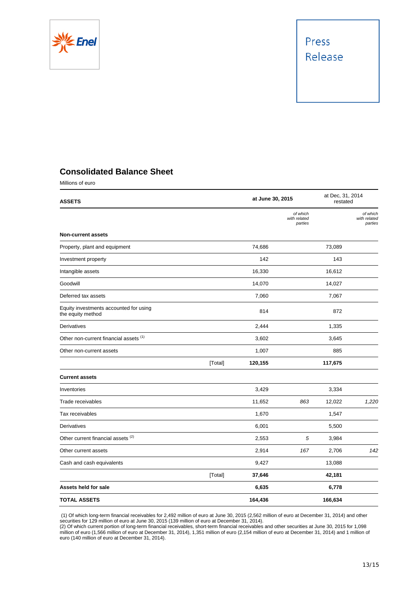

## **Consolidated Balance Sheet**

Millions of euro

| <b>ASSETS</b>                                               |         | at June 30, 2015 |                                     | at Dec, 31, 2014<br>restated |                                     |
|-------------------------------------------------------------|---------|------------------|-------------------------------------|------------------------------|-------------------------------------|
|                                                             |         |                  | of which<br>with related<br>parties |                              | of which<br>with related<br>parties |
| <b>Non-current assets</b>                                   |         |                  |                                     |                              |                                     |
| Property, plant and equipment                               |         | 74,686           |                                     | 73,089                       |                                     |
| Investment property                                         |         | 142              |                                     | 143                          |                                     |
| Intangible assets                                           |         | 16,330           |                                     | 16,612                       |                                     |
| Goodwill                                                    |         | 14,070           |                                     | 14,027                       |                                     |
| Deferred tax assets                                         |         | 7,060            |                                     | 7,067                        |                                     |
| Equity investments accounted for using<br>the equity method |         | 814              |                                     | 872                          |                                     |
| Derivatives                                                 |         | 2,444            |                                     | 1,335                        |                                     |
| Other non-current financial assets (1)                      |         | 3,602            |                                     | 3,645                        |                                     |
| Other non-current assets                                    |         | 1,007            |                                     | 885                          |                                     |
|                                                             | [Total] | 120,155          |                                     | 117,675                      |                                     |
| <b>Current assets</b>                                       |         |                  |                                     |                              |                                     |
| Inventories                                                 |         | 3,429            |                                     | 3,334                        |                                     |
| Trade receivables                                           |         | 11,652           | 863                                 | 12,022                       | 1,220                               |
| Tax receivables                                             |         | 1,670            |                                     | 1,547                        |                                     |
| Derivatives                                                 |         | 6,001            |                                     | 5,500                        |                                     |
| Other current financial assets <sup>(2)</sup>               |         | 2,553            | $\overline{5}$                      | 3,984                        |                                     |
| Other current assets                                        |         | 2,914            | 167                                 | 2,706                        | 142                                 |
| Cash and cash equivalents                                   |         | 9,427            |                                     | 13,088                       |                                     |
|                                                             | [Total] | 37,646           |                                     | 42,181                       |                                     |
| Assets held for sale                                        |         | 6,635            |                                     | 6,778                        |                                     |
| <b>TOTAL ASSETS</b>                                         |         | 164,436          |                                     | 166,634                      |                                     |

 (1) Of which long-term financial receivables for 2,492 million of euro at June 30, 2015 (2,562 million of euro at December 31, 2014) and other securities for 129 million of euro at June 30, 2015 (139 million of euro at December 31, 2014).

(2) Of which current portion of long-term financial receivables, short-term financial receivables and other securities at June 30, 2015 for 1,098 million of euro (1,566 million of euro at December 31, 2014), 1,351 million of euro (2,154 million of euro at December 31, 2014) and 1 million of euro (140 million of euro at December 31, 2014).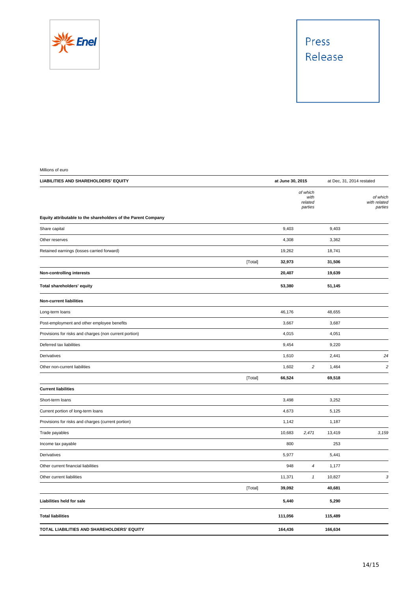

Millions of euro

| LIABILITIES AND SHAREHOLDERS' EQUITY                          |         | at June 30, 2015 |                                        |         | at Dec, 31, 2014 restated           |
|---------------------------------------------------------------|---------|------------------|----------------------------------------|---------|-------------------------------------|
|                                                               |         |                  | of which<br>with<br>related<br>parties |         | of which<br>with related<br>parties |
| Equity attributable to the shareholders of the Parent Company |         |                  |                                        |         |                                     |
| Share capital                                                 |         | 9,403            |                                        | 9,403   |                                     |
| Other reserves                                                |         | 4,308            |                                        | 3,362   |                                     |
| Retained earnings (losses carried forward)                    |         | 19,262           |                                        | 18,741  |                                     |
|                                                               | [Total] | 32,973           |                                        | 31,506  |                                     |
| Non-controlling interests                                     |         | 20,407           |                                        | 19,639  |                                     |
| Total shareholders' equity                                    |         | 53,380           |                                        | 51,145  |                                     |
| <b>Non-current liabilities</b>                                |         |                  |                                        |         |                                     |
| Long-term loans                                               |         | 46,176           |                                        | 48,655  |                                     |
| Post-employment and other employee benefits                   |         | 3,667            |                                        | 3,687   |                                     |
| Provisions for risks and charges (non current portion)        |         | 4,015            |                                        | 4,051   |                                     |
| Deferred tax liabilities                                      |         | 9,454            |                                        | 9,220   |                                     |
| Derivatives                                                   |         | 1,610            |                                        | 2,441   | 24                                  |
| Other non-current liabilities                                 |         | 1,602            | $\overline{c}$                         | 1,464   | $\sqrt{2}$                          |
|                                                               | [Total] | 66,524           |                                        | 69,518  |                                     |
| <b>Current liabilities</b>                                    |         |                  |                                        |         |                                     |
| Short-term loans                                              |         | 3,498            |                                        | 3,252   |                                     |
| Current portion of long-term loans                            |         | 4,673            |                                        | 5,125   |                                     |
| Provisions for risks and charges (current portion)            |         | 1,142            |                                        | 1,187   |                                     |
| Trade payables                                                |         | 10,683           | 2,471                                  | 13,419  | 3,159                               |
| Income tax payable                                            |         | 800              |                                        | 253     |                                     |
| Derivatives                                                   |         | 5,977            |                                        | 5,441   |                                     |
| Other current financial liabilities                           |         | 948              | $\boldsymbol{4}$                       | 1,177   |                                     |
| Other current liabilities                                     |         | 11,371           | $\pmb{\mathcal{1}}$                    | 10,827  | 3                                   |
|                                                               | [Total] | 39,092           |                                        | 40,681  |                                     |
| Liabilities held for sale                                     |         | 5,440            |                                        | 5,290   |                                     |
| <b>Total liabilities</b>                                      |         | 111,056          |                                        | 115,489 |                                     |
| TOTAL LIABILITIES AND SHAREHOLDERS' EQUITY                    |         | 164,436          |                                        | 166,634 |                                     |
|                                                               |         |                  |                                        |         |                                     |